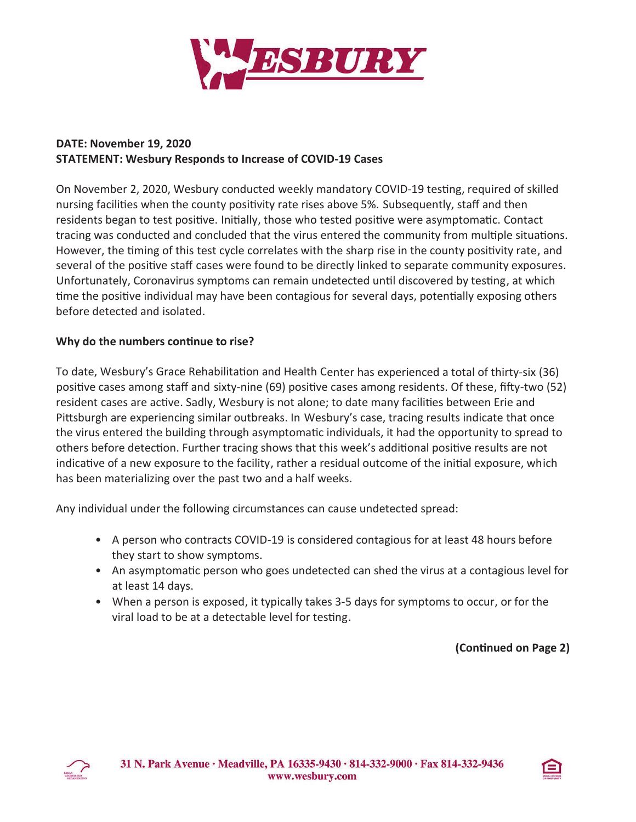

## **DATE: November 19, 2020 STATEMENT: Wesbury Responds to Increase of COVID-19 Cases**

On November 2, 2020, Wesbury conducted weekly mandatory COVID-19 testing, required of skilled nursing facilities when the county positivity rate rises above 5%. Subsequently, staff and then residents began to test positive. Initially, those who tested positive were asymptomatic. Contact tracing was conducted and concluded that the virus entered the community from multiple situations. However, the timing of this test cycle correlates with the sharp rise in the county positivity rate, and several of the positive staff cases were found to be directly linked to separate community exposures. Unfortunately, Coronavirus symptoms can remain undetected until discovered by testing, at which time the positive individual may have been contagious for several days, potentially exposing others before detected and isolated.

## **Why do the numbers con�nue to rise?**

To date, Wesbury's Grace Rehabilitation and Health Center has experienced a total of thirty-six (36) positive cases among staff and sixty-nine (69) positive cases among residents. Of these, fifty-two (52) resident cases are active. Sadly, Wesbury is not alone; to date many facilities between Erie and Pittsburgh are experiencing similar outbreaks. In Wesbury's case, tracing results indicate that once the virus entered the building through asymptoma�c individuals, it had the opportunity to spread to others before detection. Further tracing shows that this week's additional positive results are not indicative of a new exposure to the facility, rather a residual outcome of the initial exposure, which has been materializing over the past two and a half weeks.

Any individual under the following circumstances can cause undetected spread:

- A person who contracts COVID -19 is considered contagious for at least 48 hours before they start to show symptoms.
- An asymptomatic person who goes undetected can shed the virus at a contagious level for at least 14 days.
- When a person is exposed, it typically takes 3-5 days for symptoms to occur, or for the viral load to be at a detectable level for testing.

**(Con�nued on Page 2)**